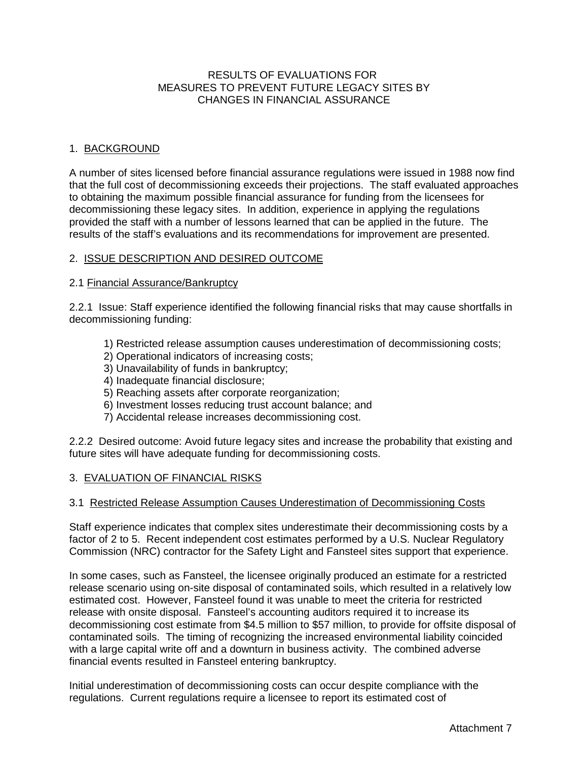### RESULTS OF EVALUATIONS FOR MEASURES TO PREVENT FUTURE LEGACY SITES BY CHANGES IN FINANCIAL ASSURANCE

### 1. BACKGROUND

A number of sites licensed before financial assurance regulations were issued in 1988 now find that the full cost of decommissioning exceeds their projections. The staff evaluated approaches to obtaining the maximum possible financial assurance for funding from the licensees for decommissioning these legacy sites. In addition, experience in applying the regulations provided the staff with a number of lessons learned that can be applied in the future. The results of the staff's evaluations and its recommendations for improvement are presented.

#### 2. ISSUE DESCRIPTION AND DESIRED OUTCOME

#### 2.1 Financial Assurance/Bankruptcy

2.2.1 Issue: Staff experience identified the following financial risks that may cause shortfalls in decommissioning funding:

- 1) Restricted release assumption causes underestimation of decommissioning costs;
- 2) Operational indicators of increasing costs;
- 3) Unavailability of funds in bankruptcy;
- 4) Inadequate financial disclosure;
- 5) Reaching assets after corporate reorganization;
- 6) Investment losses reducing trust account balance; and
- 7) Accidental release increases decommissioning cost.

2.2.2 Desired outcome: Avoid future legacy sites and increase the probability that existing and future sites will have adequate funding for decommissioning costs.

### 3. EVALUATION OF FINANCIAL RISKS

#### 3.1 Restricted Release Assumption Causes Underestimation of Decommissioning Costs

Staff experience indicates that complex sites underestimate their decommissioning costs by a factor of 2 to 5. Recent independent cost estimates performed by a U.S. Nuclear Regulatory Commission (NRC) contractor for the Safety Light and Fansteel sites support that experience.

In some cases, such as Fansteel, the licensee originally produced an estimate for a restricted release scenario using on-site disposal of contaminated soils, which resulted in a relatively low estimated cost. However, Fansteel found it was unable to meet the criteria for restricted release with onsite disposal. Fansteel's accounting auditors required it to increase its decommissioning cost estimate from \$4.5 million to \$57 million, to provide for offsite disposal of contaminated soils. The timing of recognizing the increased environmental liability coincided with a large capital write off and a downturn in business activity. The combined adverse financial events resulted in Fansteel entering bankruptcy.

Initial underestimation of decommissioning costs can occur despite compliance with the regulations. Current regulations require a licensee to report its estimated cost of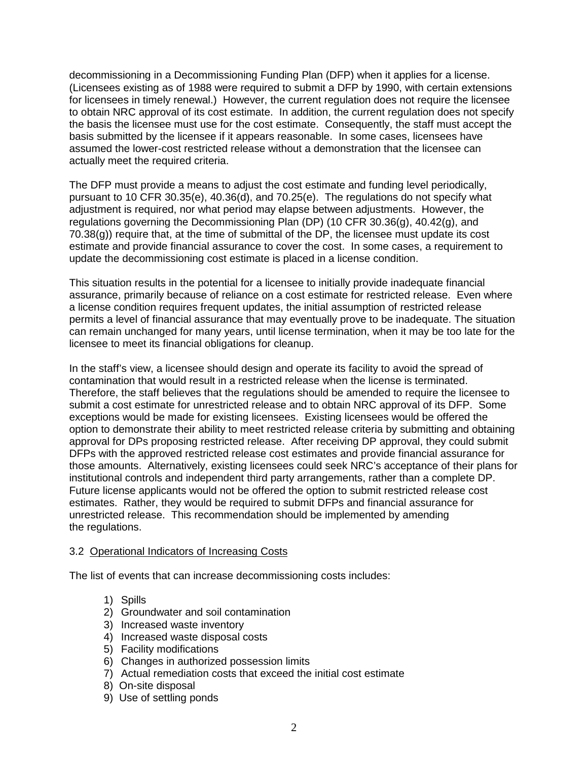decommissioning in a Decommissioning Funding Plan (DFP) when it applies for a license. (Licensees existing as of 1988 were required to submit a DFP by 1990, with certain extensions for licensees in timely renewal.) However, the current regulation does not require the licensee to obtain NRC approval of its cost estimate. In addition, the current regulation does not specify the basis the licensee must use for the cost estimate. Consequently, the staff must accept the basis submitted by the licensee if it appears reasonable. In some cases, licensees have assumed the lower-cost restricted release without a demonstration that the licensee can actually meet the required criteria.

The DFP must provide a means to adjust the cost estimate and funding level periodically, pursuant to 10 CFR 30.35(e), 40.36(d), and 70.25(e). The regulations do not specify what adjustment is required, nor what period may elapse between adjustments. However, the regulations governing the Decommissioning Plan (DP) (10 CFR 30.36(g), 40.42(g), and 70.38(g)) require that, at the time of submittal of the DP, the licensee must update its cost estimate and provide financial assurance to cover the cost. In some cases, a requirement to update the decommissioning cost estimate is placed in a license condition.

This situation results in the potential for a licensee to initially provide inadequate financial assurance, primarily because of reliance on a cost estimate for restricted release. Even where a license condition requires frequent updates, the initial assumption of restricted release permits a level of financial assurance that may eventually prove to be inadequate. The situation can remain unchanged for many years, until license termination, when it may be too late for the licensee to meet its financial obligations for cleanup.

In the staff's view, a licensee should design and operate its facility to avoid the spread of contamination that would result in a restricted release when the license is terminated. Therefore, the staff believes that the regulations should be amended to require the licensee to submit a cost estimate for unrestricted release and to obtain NRC approval of its DFP. Some exceptions would be made for existing licensees. Existing licensees would be offered the option to demonstrate their ability to meet restricted release criteria by submitting and obtaining approval for DPs proposing restricted release. After receiving DP approval, they could submit DFPs with the approved restricted release cost estimates and provide financial assurance for those amounts. Alternatively, existing licensees could seek NRC's acceptance of their plans for institutional controls and independent third party arrangements, rather than a complete DP. Future license applicants would not be offered the option to submit restricted release cost estimates. Rather, they would be required to submit DFPs and financial assurance for unrestricted release. This recommendation should be implemented by amending the regulations.

### 3.2 Operational Indicators of Increasing Costs

The list of events that can increase decommissioning costs includes:

- 1) Spills
- 2) Groundwater and soil contamination
- 3) Increased waste inventory
- 4) Increased waste disposal costs
- 5) Facility modifications
- 6) Changes in authorized possession limits
- 7) Actual remediation costs that exceed the initial cost estimate
- 8) On-site disposal
- 9) Use of settling ponds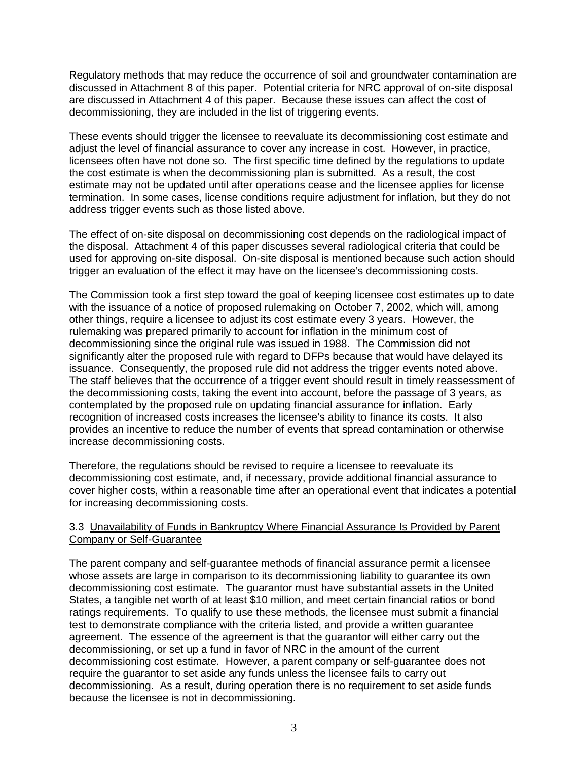Regulatory methods that may reduce the occurrence of soil and groundwater contamination are discussed in Attachment 8 of this paper. Potential criteria for NRC approval of on-site disposal are discussed in Attachment 4 of this paper. Because these issues can affect the cost of decommissioning, they are included in the list of triggering events.

These events should trigger the licensee to reevaluate its decommissioning cost estimate and adjust the level of financial assurance to cover any increase in cost. However, in practice, licensees often have not done so. The first specific time defined by the regulations to update the cost estimate is when the decommissioning plan is submitted. As a result, the cost estimate may not be updated until after operations cease and the licensee applies for license termination. In some cases, license conditions require adjustment for inflation, but they do not address trigger events such as those listed above.

The effect of on-site disposal on decommissioning cost depends on the radiological impact of the disposal. Attachment 4 of this paper discusses several radiological criteria that could be used for approving on-site disposal. On-site disposal is mentioned because such action should trigger an evaluation of the effect it may have on the licensee's decommissioning costs.

The Commission took a first step toward the goal of keeping licensee cost estimates up to date with the issuance of a notice of proposed rulemaking on October 7, 2002, which will, among other things, require a licensee to adjust its cost estimate every 3 years. However, the rulemaking was prepared primarily to account for inflation in the minimum cost of decommissioning since the original rule was issued in 1988. The Commission did not significantly alter the proposed rule with regard to DFPs because that would have delayed its issuance. Consequently, the proposed rule did not address the trigger events noted above. The staff believes that the occurrence of a trigger event should result in timely reassessment of the decommissioning costs, taking the event into account, before the passage of 3 years, as contemplated by the proposed rule on updating financial assurance for inflation. Early recognition of increased costs increases the licensee's ability to finance its costs. It also provides an incentive to reduce the number of events that spread contamination or otherwise increase decommissioning costs.

Therefore, the regulations should be revised to require a licensee to reevaluate its decommissioning cost estimate, and, if necessary, provide additional financial assurance to cover higher costs, within a reasonable time after an operational event that indicates a potential for increasing decommissioning costs.

### 3.3 Unavailability of Funds in Bankruptcy Where Financial Assurance Is Provided by Parent Company or Self-Guarantee

The parent company and self-guarantee methods of financial assurance permit a licensee whose assets are large in comparison to its decommissioning liability to guarantee its own decommissioning cost estimate. The guarantor must have substantial assets in the United States, a tangible net worth of at least \$10 million, and meet certain financial ratios or bond ratings requirements. To qualify to use these methods, the licensee must submit a financial test to demonstrate compliance with the criteria listed, and provide a written guarantee agreement. The essence of the agreement is that the guarantor will either carry out the decommissioning, or set up a fund in favor of NRC in the amount of the current decommissioning cost estimate. However, a parent company or self-guarantee does not require the guarantor to set aside any funds unless the licensee fails to carry out decommissioning. As a result, during operation there is no requirement to set aside funds because the licensee is not in decommissioning.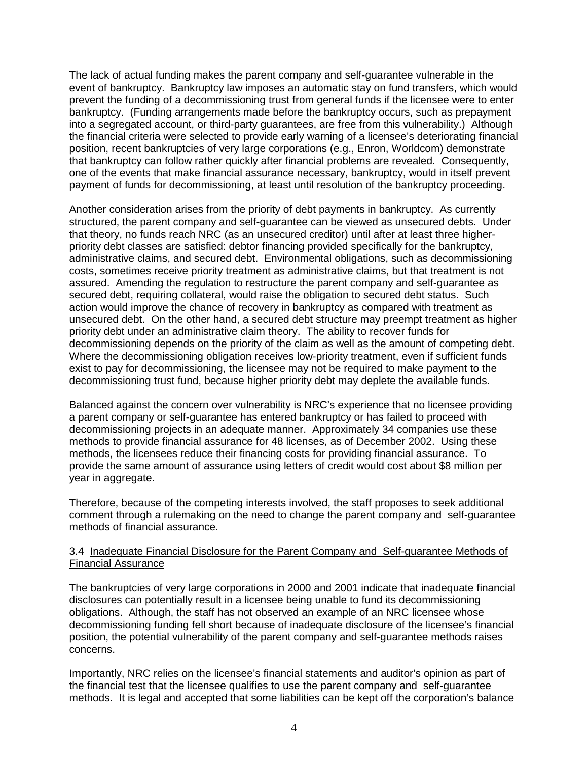The lack of actual funding makes the parent company and self-guarantee vulnerable in the event of bankruptcy. Bankruptcy law imposes an automatic stay on fund transfers, which would prevent the funding of a decommissioning trust from general funds if the licensee were to enter bankruptcy. (Funding arrangements made before the bankruptcy occurs, such as prepayment into a segregated account, or third-party guarantees, are free from this vulnerability.) Although the financial criteria were selected to provide early warning of a licensee's deteriorating financial position, recent bankruptcies of very large corporations (e.g., Enron, Worldcom) demonstrate that bankruptcy can follow rather quickly after financial problems are revealed. Consequently, one of the events that make financial assurance necessary, bankruptcy, would in itself prevent payment of funds for decommissioning, at least until resolution of the bankruptcy proceeding.

Another consideration arises from the priority of debt payments in bankruptcy. As currently structured, the parent company and self-guarantee can be viewed as unsecured debts. Under that theory, no funds reach NRC (as an unsecured creditor) until after at least three higherpriority debt classes are satisfied: debtor financing provided specifically for the bankruptcy, administrative claims, and secured debt. Environmental obligations, such as decommissioning costs, sometimes receive priority treatment as administrative claims, but that treatment is not assured. Amending the regulation to restructure the parent company and self-guarantee as secured debt, requiring collateral, would raise the obligation to secured debt status. Such action would improve the chance of recovery in bankruptcy as compared with treatment as unsecured debt. On the other hand, a secured debt structure may preempt treatment as higher priority debt under an administrative claim theory. The ability to recover funds for decommissioning depends on the priority of the claim as well as the amount of competing debt. Where the decommissioning obligation receives low-priority treatment, even if sufficient funds exist to pay for decommissioning, the licensee may not be required to make payment to the decommissioning trust fund, because higher priority debt may deplete the available funds.

Balanced against the concern over vulnerability is NRC's experience that no licensee providing a parent company or self-guarantee has entered bankruptcy or has failed to proceed with decommissioning projects in an adequate manner. Approximately 34 companies use these methods to provide financial assurance for 48 licenses, as of December 2002. Using these methods, the licensees reduce their financing costs for providing financial assurance. To provide the same amount of assurance using letters of credit would cost about \$8 million per year in aggregate.

Therefore, because of the competing interests involved, the staff proposes to seek additional comment through a rulemaking on the need to change the parent company and self-guarantee methods of financial assurance.

#### 3.4 Inadequate Financial Disclosure for the Parent Company and Self-guarantee Methods of Financial Assurance

The bankruptcies of very large corporations in 2000 and 2001 indicate that inadequate financial disclosures can potentially result in a licensee being unable to fund its decommissioning obligations. Although, the staff has not observed an example of an NRC licensee whose decommissioning funding fell short because of inadequate disclosure of the licensee's financial position, the potential vulnerability of the parent company and self-guarantee methods raises concerns.

Importantly, NRC relies on the licensee's financial statements and auditor's opinion as part of the financial test that the licensee qualifies to use the parent company and self-guarantee methods. It is legal and accepted that some liabilities can be kept off the corporation's balance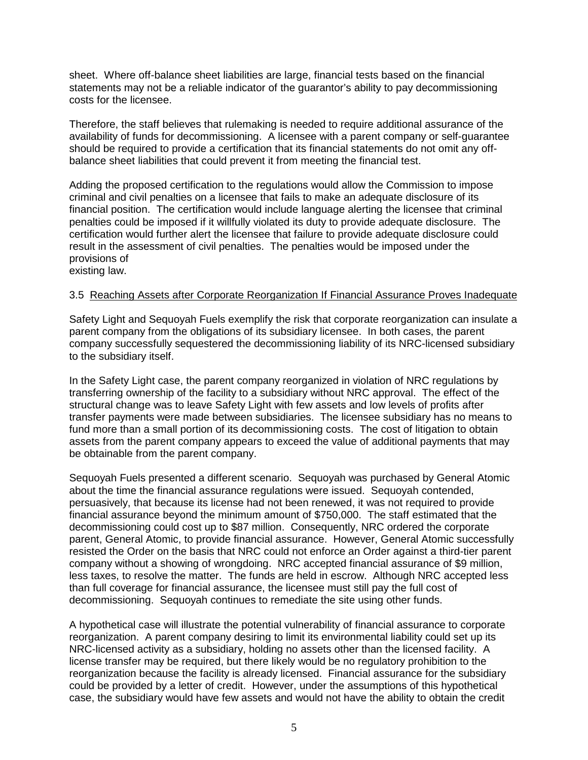sheet. Where off-balance sheet liabilities are large, financial tests based on the financial statements may not be a reliable indicator of the guarantor's ability to pay decommissioning costs for the licensee.

Therefore, the staff believes that rulemaking is needed to require additional assurance of the availability of funds for decommissioning. A licensee with a parent company or self-guarantee should be required to provide a certification that its financial statements do not omit any offbalance sheet liabilities that could prevent it from meeting the financial test.

Adding the proposed certification to the regulations would allow the Commission to impose criminal and civil penalties on a licensee that fails to make an adequate disclosure of its financial position. The certification would include language alerting the licensee that criminal penalties could be imposed if it willfully violated its duty to provide adequate disclosure. The certification would further alert the licensee that failure to provide adequate disclosure could result in the assessment of civil penalties. The penalties would be imposed under the provisions of existing law.

# 3.5 Reaching Assets after Corporate Reorganization If Financial Assurance Proves Inadequate

Safety Light and Sequoyah Fuels exemplify the risk that corporate reorganization can insulate a parent company from the obligations of its subsidiary licensee. In both cases, the parent company successfully sequestered the decommissioning liability of its NRC-licensed subsidiary to the subsidiary itself.

In the Safety Light case, the parent company reorganized in violation of NRC regulations by transferring ownership of the facility to a subsidiary without NRC approval. The effect of the structural change was to leave Safety Light with few assets and low levels of profits after transfer payments were made between subsidiaries. The licensee subsidiary has no means to fund more than a small portion of its decommissioning costs. The cost of litigation to obtain assets from the parent company appears to exceed the value of additional payments that may be obtainable from the parent company.

Sequoyah Fuels presented a different scenario. Sequoyah was purchased by General Atomic about the time the financial assurance regulations were issued. Sequoyah contended, persuasively, that because its license had not been renewed, it was not required to provide financial assurance beyond the minimum amount of \$750,000. The staff estimated that the decommissioning could cost up to \$87 million. Consequently, NRC ordered the corporate parent, General Atomic, to provide financial assurance. However, General Atomic successfully resisted the Order on the basis that NRC could not enforce an Order against a third-tier parent company without a showing of wrongdoing. NRC accepted financial assurance of \$9 million, less taxes, to resolve the matter. The funds are held in escrow. Although NRC accepted less than full coverage for financial assurance, the licensee must still pay the full cost of decommissioning. Sequoyah continues to remediate the site using other funds.

A hypothetical case will illustrate the potential vulnerability of financial assurance to corporate reorganization. A parent company desiring to limit its environmental liability could set up its NRC-licensed activity as a subsidiary, holding no assets other than the licensed facility. A license transfer may be required, but there likely would be no regulatory prohibition to the reorganization because the facility is already licensed. Financial assurance for the subsidiary could be provided by a letter of credit. However, under the assumptions of this hypothetical case, the subsidiary would have few assets and would not have the ability to obtain the credit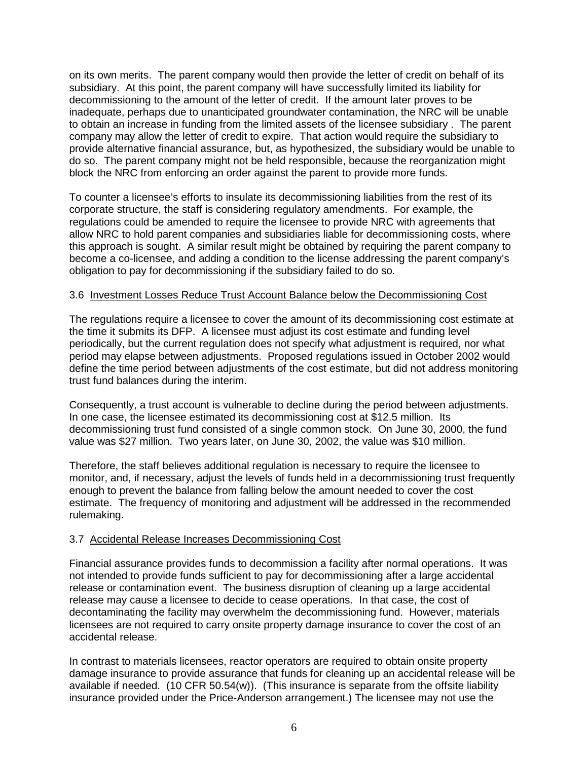on its own merits. The parent company would then provide the letter of credit on behalf of its subsidiary. At this point, the parent company will have successfully limited its liability for decommissioning to the amount of the letter of credit. If the amount later proves to be inadequate, perhaps due to unanticipated groundwater contamination, the NRC will be unable to obtain an increase in funding from the limited assets of the licensee subsidiary . The parent company may allow the letter of credit to expire. That action would require the subsidiary to provide alternative financial assurance, but, as hypothesized, the subsidiary would be unable to do so. The parent company might not be held responsible, because the reorganization might block the NRC from enforcing an order against the parent to provide more funds.

To counter a licensee's efforts to insulate its decommissioning liabilities from the rest of its corporate structure, the staff is considering regulatory amendments. For example, the regulations could be amended to require the licensee to provide NRC with agreements that allow NRC to hold parent companies and subsidiaries liable for decommissioning costs, where this approach is sought. A similar result might be obtained by requiring the parent company to become a co-licensee, and adding a condition to the license addressing the parent company's obligation to pay for decommissioning if the subsidiary failed to do so.

#### 3.6 Investment Losses Reduce Trust Account Balance below the Decommissioning Cost

The regulations require a licensee to cover the amount of its decommissioning cost estimate at the time it submits its DFP. A licensee must adjust its cost estimate and funding level periodically, but the current regulation does not specify what adjustment is required, nor what period may elapse between adjustments. Proposed regulations issued in October 2002 would define the time period between adjustments of the cost estimate, but did not address monitoring trust fund balances during the interim.

Consequently, a trust account is vulnerable to decline during the period between adjustments. In one case, the licensee estimated its decommissioning cost at \$12.5 million. Its decommissioning trust fund consisted of a single common stock. On June 30, 2000, the fund value was \$27 million. Two years later, on June 30, 2002, the value was \$10 million.

Therefore, the staff believes additional regulation is necessary to require the licensee to monitor, and, if necessary, adjust the levels of funds held in a decommissioning trust frequently enough to prevent the balance from falling below the amount needed to cover the cost estimate. The frequency of monitoring and adjustment will be addressed in the recommended rulemaking.

#### 3.7 Accidental Release Increases Decommissioning Cost

Financial assurance provides funds to decommission a facility after normal operations. It was not intended to provide funds sufficient to pay for decommissioning after a large accidental release or contamination event. The business disruption of cleaning up a large accidental release may cause a licensee to decide to cease operations. In that case, the cost of decontaminating the facility may overwhelm the decommissioning fund. However, materials licensees are not required to carry onsite property damage insurance to cover the cost of an accidental release.

In contrast to materials licensees, reactor operators are required to obtain onsite property damage insurance to provide assurance that funds for cleaning up an accidental release will be available if needed. (10 CFR 50.54(w)). (This insurance is separate from the offsite liability insurance provided under the Price-Anderson arrangement.) The licensee may not use the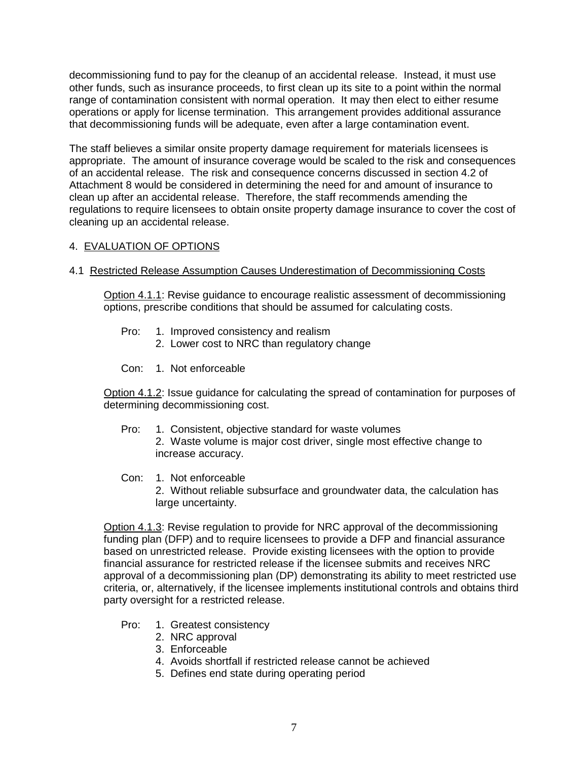decommissioning fund to pay for the cleanup of an accidental release. Instead, it must use other funds, such as insurance proceeds, to first clean up its site to a point within the normal range of contamination consistent with normal operation. It may then elect to either resume operations or apply for license termination. This arrangement provides additional assurance that decommissioning funds will be adequate, even after a large contamination event.

The staff believes a similar onsite property damage requirement for materials licensees is appropriate. The amount of insurance coverage would be scaled to the risk and consequences of an accidental release. The risk and consequence concerns discussed in section 4.2 of Attachment 8 would be considered in determining the need for and amount of insurance to clean up after an accidental release. Therefore, the staff recommends amending the regulations to require licensees to obtain onsite property damage insurance to cover the cost of cleaning up an accidental release.

### 4. EVALUATION OF OPTIONS

#### 4.1 Restricted Release Assumption Causes Underestimation of Decommissioning Costs

Option 4.1.1: Revise guidance to encourage realistic assessment of decommissioning options, prescribe conditions that should be assumed for calculating costs.

- Pro: 1. Improved consistency and realism
	- 2. Lower cost to NRC than regulatory change
- Con: 1. Not enforceable

Option 4.1.2: Issue guidance for calculating the spread of contamination for purposes of determining decommissioning cost.

- Pro: 1. Consistent, objective standard for waste volumes 2. Waste volume is major cost driver, single most effective change to increase accuracy.
- Con: 1. Not enforceable 2. Without reliable subsurface and groundwater data, the calculation has large uncertainty.

Option 4.1.3: Revise regulation to provide for NRC approval of the decommissioning funding plan (DFP) and to require licensees to provide a DFP and financial assurance based on unrestricted release. Provide existing licensees with the option to provide financial assurance for restricted release if the licensee submits and receives NRC approval of a decommissioning plan (DP) demonstrating its ability to meet restricted use criteria, or, alternatively, if the licensee implements institutional controls and obtains third party oversight for a restricted release.

- Pro: 1. Greatest consistency
	- 2. NRC approval
	- 3. Enforceable
	- 4. Avoids shortfall if restricted release cannot be achieved
	- 5. Defines end state during operating period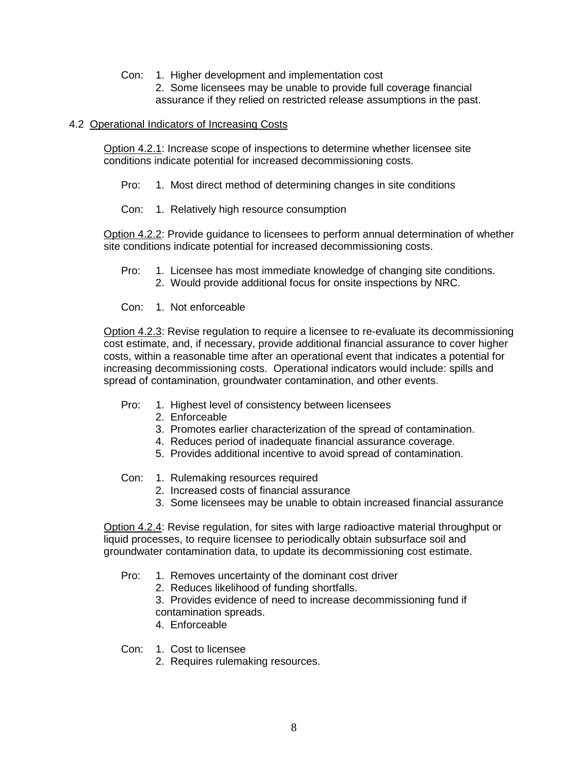- Con: 1. Higher development and implementation cost
	- 2. Some licensees may be unable to provide full coverage financial assurance if they relied on restricted release assumptions in the past.

#### 4.2 Operational Indicators of Increasing Costs

Option 4.2.1: Increase scope of inspections to determine whether licensee site conditions indicate potential for increased decommissioning costs.

- Pro: 1. Most direct method of determining changes in site conditions
- Con: 1. Relatively high resource consumption

Option 4.2.2: Provide guidance to licensees to perform annual determination of whether site conditions indicate potential for increased decommissioning costs.

- Pro: 1. Licensee has most immediate knowledge of changing site conditions. 2. Would provide additional focus for onsite inspections by NRC.
- Con: 1. Not enforceable

Option 4.2.3: Revise regulation to require a licensee to re-evaluate its decommissioning cost estimate, and, if necessary, provide additional financial assurance to cover higher costs, within a reasonable time after an operational event that indicates a potential for increasing decommissioning costs. Operational indicators would include: spills and spread of contamination, groundwater contamination, and other events.

- Pro: 1. Highest level of consistency between licensees
	- 2. Enforceable
	- 3. Promotes earlier characterization of the spread of contamination.
	- 4. Reduces period of inadequate financial assurance coverage.
	- 5. Provides additional incentive to avoid spread of contamination.
- Con: 1. Rulemaking resources required
	- 2. Increased costs of financial assurance
	- 3. Some licensees may be unable to obtain increased financial assurance

Option 4.2.4: Revise regulation, for sites with large radioactive material throughput or liquid processes, to require licensee to periodically obtain subsurface soil and groundwater contamination data, to update its decommissioning cost estimate.

- Pro: 1. Removes uncertainty of the dominant cost driver
	- 2. Reduces likelihood of funding shortfalls.

3. Provides evidence of need to increase decommissioning fund if contamination spreads.

- 4. Enforceable
- Con: 1. Cost to licensee
	- 2. Requires rulemaking resources.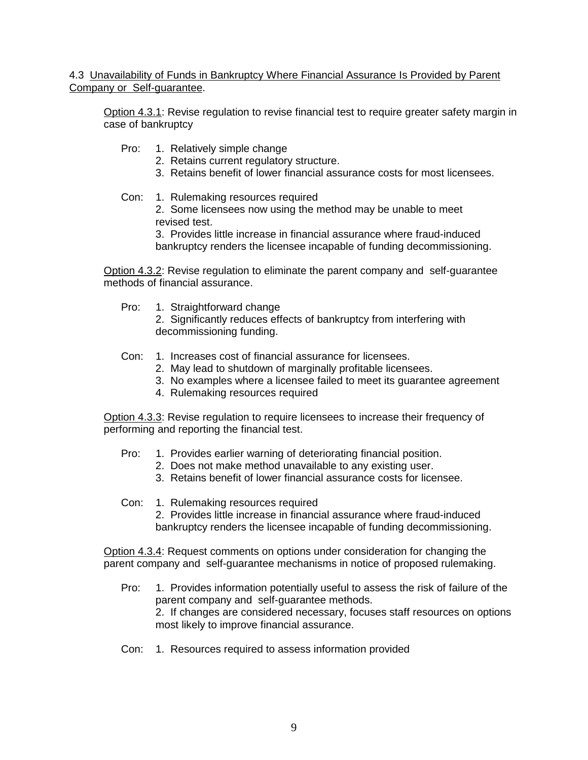4.3 Unavailability of Funds in Bankruptcy Where Financial Assurance Is Provided by Parent Company or Self-guarantee.

Option 4.3.1: Revise regulation to revise financial test to require greater safety margin in case of bankruptcy

- Pro: 1. Relatively simple change
	- 2. Retains current regulatory structure.
	- 3. Retains benefit of lower financial assurance costs for most licensees.
- Con: 1. Rulemaking resources required

2. Some licensees now using the method may be unable to meet revised test.

3. Provides little increase in financial assurance where fraud-induced bankruptcy renders the licensee incapable of funding decommissioning.

Option 4.3.2: Revise regulation to eliminate the parent company and self-guarantee methods of financial assurance.

Pro: 1. Straightforward change

2. Significantly reduces effects of bankruptcy from interfering with decommissioning funding.

- Con: 1. Increases cost of financial assurance for licensees.
	- 2. May lead to shutdown of marginally profitable licensees.
	- 3. No examples where a licensee failed to meet its guarantee agreement
	- 4. Rulemaking resources required

Option 4.3.3: Revise regulation to require licensees to increase their frequency of performing and reporting the financial test.

- Pro: 1. Provides earlier warning of deteriorating financial position.
	- 2. Does not make method unavailable to any existing user.
	- 3. Retains benefit of lower financial assurance costs for licensee.
- Con: 1. Rulemaking resources required

2. Provides little increase in financial assurance where fraud-induced bankruptcy renders the licensee incapable of funding decommissioning.

Option 4.3.4: Request comments on options under consideration for changing the parent company and self-guarantee mechanisms in notice of proposed rulemaking.

Pro: 1. Provides information potentially useful to assess the risk of failure of the parent company and self-guarantee methods. 2. If changes are considered necessary, focuses staff resources on options

most likely to improve financial assurance.

Con: 1. Resources required to assess information provided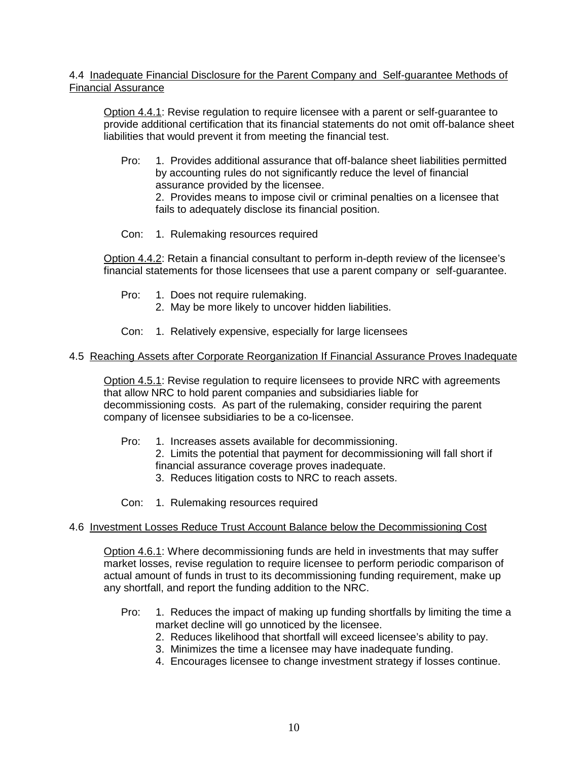### 4.4 Inadequate Financial Disclosure for the Parent Company and Self-guarantee Methods of Financial Assurance

Option 4.4.1: Revise regulation to require licensee with a parent or self-guarantee to provide additional certification that its financial statements do not omit off-balance sheet liabilities that would prevent it from meeting the financial test.

Pro: 1. Provides additional assurance that off-balance sheet liabilities permitted by accounting rules do not significantly reduce the level of financial assurance provided by the licensee.

2. Provides means to impose civil or criminal penalties on a licensee that fails to adequately disclose its financial position.

Con: 1. Rulemaking resources required

Option 4.4.2: Retain a financial consultant to perform in-depth review of the licensee's financial statements for those licensees that use a parent company or self-guarantee.

- Pro: 1. Does not require rulemaking.
	- 2. May be more likely to uncover hidden liabilities.
- Con: 1. Relatively expensive, especially for large licensees

#### 4.5 Reaching Assets after Corporate Reorganization If Financial Assurance Proves Inadequate

Option 4.5.1: Revise regulation to require licensees to provide NRC with agreements that allow NRC to hold parent companies and subsidiaries liable for decommissioning costs. As part of the rulemaking, consider requiring the parent company of licensee subsidiaries to be a co-licensee.

Pro: 1. Increases assets available for decommissioning.

2. Limits the potential that payment for decommissioning will fall short if financial assurance coverage proves inadequate.

- 3. Reduces litigation costs to NRC to reach assets.
- Con: 1. Rulemaking resources required

#### 4.6 Investment Losses Reduce Trust Account Balance below the Decommissioning Cost

Option 4.6.1: Where decommissioning funds are held in investments that may suffer market losses, revise regulation to require licensee to perform periodic comparison of actual amount of funds in trust to its decommissioning funding requirement, make up any shortfall, and report the funding addition to the NRC.

- Pro: 1. Reduces the impact of making up funding shortfalls by limiting the time a market decline will go unnoticed by the licensee.
	- 2. Reduces likelihood that shortfall will exceed licensee's ability to pay.
	- 3. Minimizes the time a licensee may have inadequate funding.
	- 4. Encourages licensee to change investment strategy if losses continue.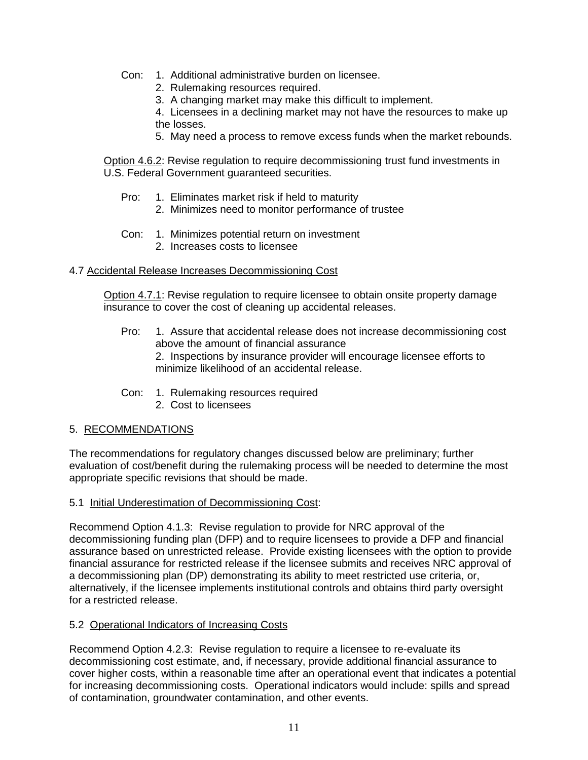- Con: 1. Additional administrative burden on licensee.
	- 2. Rulemaking resources required.
	- 3. A changing market may make this difficult to implement.
	- 4. Licensees in a declining market may not have the resources to make up the losses.
	- 5. May need a process to remove excess funds when the market rebounds.

Option 4.6.2: Revise regulation to require decommissioning trust fund investments in U.S. Federal Government guaranteed securities.

- Pro: 1. Eliminates market risk if held to maturity
	- 2. Minimizes need to monitor performance of trustee
- Con: 1. Minimizes potential return on investment
	- 2. Increases costs to licensee

#### 4.7 Accidental Release Increases Decommissioning Cost

Option 4.7.1: Revise regulation to require licensee to obtain onsite property damage insurance to cover the cost of cleaning up accidental releases.

Pro: 1. Assure that accidental release does not increase decommissioning cost above the amount of financial assurance

2. Inspections by insurance provider will encourage licensee efforts to minimize likelihood of an accidental release.

- Con: 1. Rulemaking resources required
	- 2. Cost to licensees

### 5. RECOMMENDATIONS

The recommendations for regulatory changes discussed below are preliminary; further evaluation of cost/benefit during the rulemaking process will be needed to determine the most appropriate specific revisions that should be made.

#### 5.1 Initial Underestimation of Decommissioning Cost:

Recommend Option 4.1.3: Revise regulation to provide for NRC approval of the decommissioning funding plan (DFP) and to require licensees to provide a DFP and financial assurance based on unrestricted release. Provide existing licensees with the option to provide financial assurance for restricted release if the licensee submits and receives NRC approval of a decommissioning plan (DP) demonstrating its ability to meet restricted use criteria, or, alternatively, if the licensee implements institutional controls and obtains third party oversight for a restricted release.

### 5.2 Operational Indicators of Increasing Costs

Recommend Option 4.2.3: Revise regulation to require a licensee to re-evaluate its decommissioning cost estimate, and, if necessary, provide additional financial assurance to cover higher costs, within a reasonable time after an operational event that indicates a potential for increasing decommissioning costs. Operational indicators would include: spills and spread of contamination, groundwater contamination, and other events.